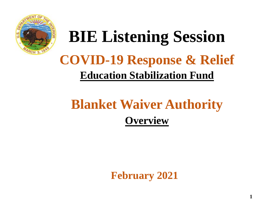

# **BIE Listening Session COVID-19 Response & Relief Education Stabilization Fund**

## **Blanket Waiver Authority Overview**

**February 2021**

**1**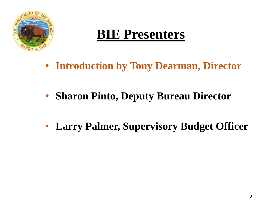

### **BIE Presenters**

- **Introduction by Tony Dearman, Director**
- **Sharon Pinto, Deputy Bureau Director**
- **Larry Palmer, Supervisory Budget Officer**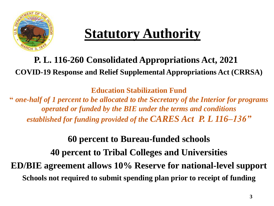

## **Statutory Authority**

**P. L. 116-260 Consolidated Appropriations Act, 2021 COVID-19 Response and Relief Supplemental Appropriations Act (CRRSA)**

**Education Stabilization Fund**

**"** *one-half of 1 percent to be allocated to the Secretary of the Interior for programs operated or funded by the BIE under the terms and conditions established for funding provided of the CARES Act P. L 116–136"*

#### **60 percent to Bureau-funded schools**

**40 percent to Tribal Colleges and Universities ED/BIE agreement allows 10% Reserve for national-level support Schools not required to submit spending plan prior to receipt of funding**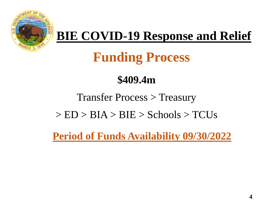

### **BIE COVID-19 Response and Relief**

## **Funding Process**

### **\$409.4m**

#### Transfer Process > Treasury

#### $>$  ED  $>$  BIA  $>$  BIE  $>$  Schools  $>$  TCUs

**Period of Funds Availability 09/30/2022**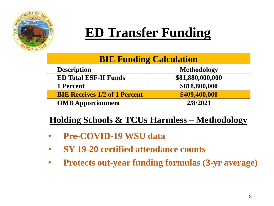

### **ED Transfer Funding**

| <b>BIE Funding Calculation</b>       |                    |
|--------------------------------------|--------------------|
| <b>Description</b>                   | <b>Methodology</b> |
| <b>ED Total ESF-II Funds</b>         | \$81,880,000,000   |
| 1 Percent                            | \$818,800,000      |
| <b>BIE Receives 1/2 of 1 Percent</b> | \$409,400,000      |
| <b>OMB</b> Apportionment             | 2/8/2021           |

#### **Holding Schools & TCUs Harmless – Methodology**

- **Pre-COVID-19 WSU data**
- **SY 19-20 certified attendance counts**
- **Protects out-year funding formulas (3-yr average)**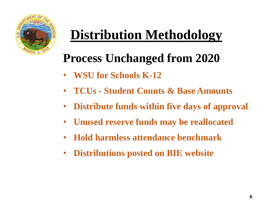

## **Distribution Methodology**

### **Process Unchanged from 2020**

- **WSU for Schools K-12**
- **TCUs - Student Counts & Base Amounts**
- **Distribute funds within five days of approval**
- **Unused reserve funds may be reallocated**
- **Hold harmless attendance benchmark**
- **Distributions posted on BIE website**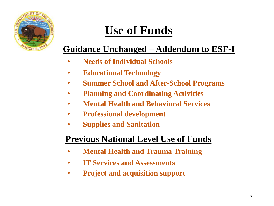

## **Use of Funds**

#### **Guidance Unchanged – Addendum to ESF-I**

- **Needs of Individual Schools**
- **Educational Technology**
- **Summer School and After-School Programs**
- **Planning and Coordinating Activities**
- **Mental Health and Behavioral Services**
- **Professional development**
- **Supplies and Sanitation**

#### **Previous National Level Use of Funds**

- **Mental Health and Trauma Training**
- **IT Services and Assessments**
- **Project and acquisition support**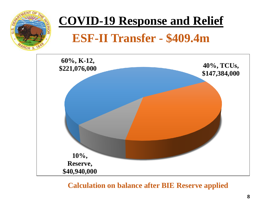

### **COVID-19 Response and Relief**

### **ESF-II Transfer - \$409.4m**



#### **Calculation on balance after BIE Reserve applied**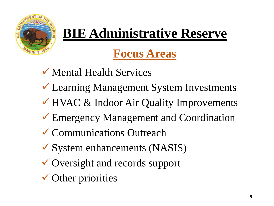

## **BIE Administrative Reserve**

### **Focus Areas**

- ✓ Mental Health Services
- ✓ Learning Management System Investments
- ✓ HVAC & Indoor Air Quality Improvements
- ✓ Emergency Management and Coordination
- ✓ Communications Outreach
- $\checkmark$  System enhancements (NASIS)
- ✓ Oversight and records support
- $\checkmark$  Other priorities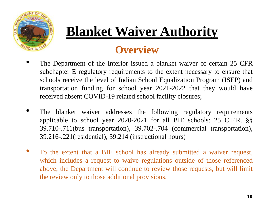

## **Blanket Waiver Authority**

### **Overview**

- The Department of the Interior issued a blanket waiver of certain 25 CFR subchapter E regulatory requirements to the extent necessary to ensure that schools receive the level of Indian School Equalization Program (ISEP) and transportation funding for school year 2021-2022 that they would have received absent COVID-19 related school facility closures;
- The blanket waiver addresses the following regulatory requirements applicable to school year 2020-2021 for all BIE schools: 25 C.F.R. §§ 39.710-.711(bus transportation), 39.702-.704 (commercial transportation), 39.216-.221(residential), 39.214 (instructional hours)
- To the extent that a BIE school has already submitted a waiver request, which includes a request to waive regulations outside of those referenced above, the Department will continue to review those requests, but will limit the review only to those additional provisions.